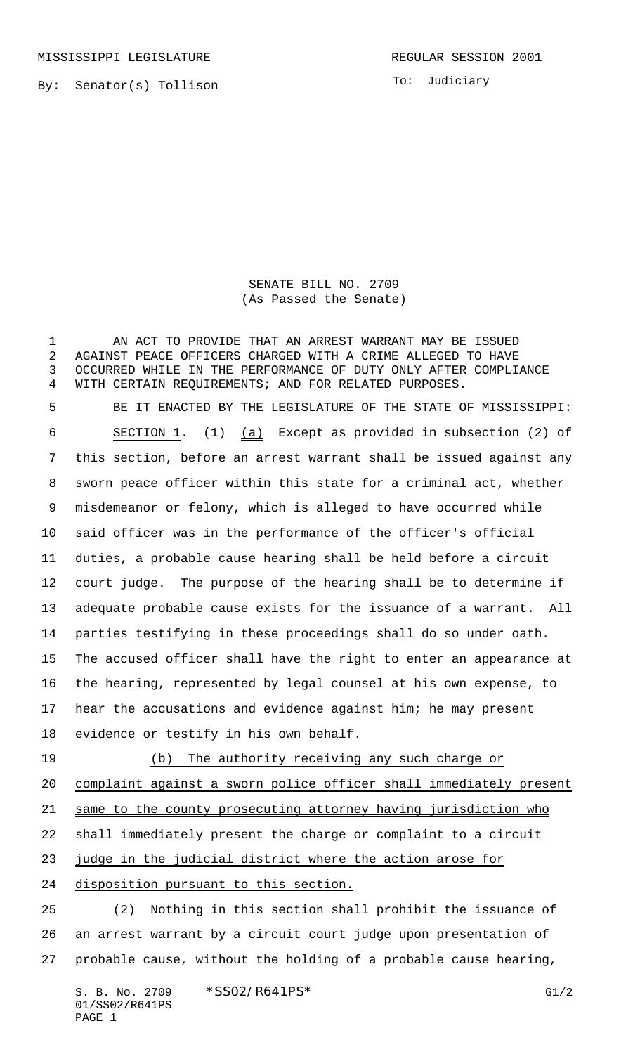MISSISSIPPI LEGISLATURE **REGULAR SESSION 2001** 

By: Senator(s) Tollison

To: Judiciary

SENATE BILL NO. 2709 (As Passed the Senate)

1 AN ACT TO PROVIDE THAT AN ARREST WARRANT MAY BE ISSUED AGAINST PEACE OFFICERS CHARGED WITH A CRIME ALLEGED TO HAVE OCCURRED WHILE IN THE PERFORMANCE OF DUTY ONLY AFTER COMPLIANCE WITH CERTAIN REQUIREMENTS; AND FOR RELATED PURPOSES. BE IT ENACTED BY THE LEGISLATURE OF THE STATE OF MISSISSIPPI: SECTION 1. (1) (a) Except as provided in subsection (2) of this section, before an arrest warrant shall be issued against any sworn peace officer within this state for a criminal act, whether misdemeanor or felony, which is alleged to have occurred while said officer was in the performance of the officer's official duties, a probable cause hearing shall be held before a circuit court judge. The purpose of the hearing shall be to determine if adequate probable cause exists for the issuance of a warrant. All parties testifying in these proceedings shall do so under oath. The accused officer shall have the right to enter an appearance at the hearing, represented by legal counsel at his own expense, to hear the accusations and evidence against him; he may present evidence or testify in his own behalf. 19 (b) The authority receiving any such charge or complaint against a sworn police officer shall immediately present same to the county prosecuting attorney having jurisdiction who

shall immediately present the charge or complaint to a circuit

judge in the judicial district where the action arose for

disposition pursuant to this section.

 (2) Nothing in this section shall prohibit the issuance of an arrest warrant by a circuit court judge upon presentation of probable cause, without the holding of a probable cause hearing,

S. B. No. 2709 \* SSO2/R641PS\* G1/2 01/SS02/R641PS PAGE 1